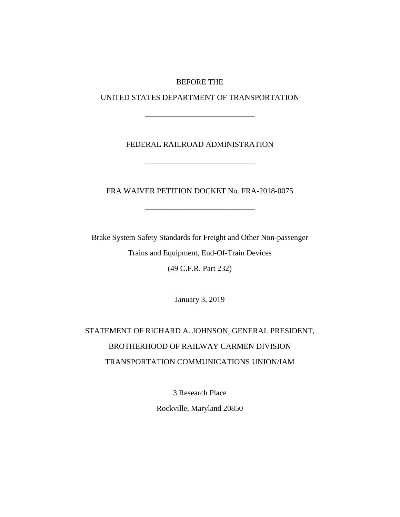### BEFORE THE

UNITED STATES DEPARTMENT OF TRANSPORTATION

\_\_\_\_\_\_\_\_\_\_\_\_\_\_\_\_\_\_\_\_\_\_\_\_\_\_\_\_

## FEDERAL RAILROAD ADMINISTRATION

\_\_\_\_\_\_\_\_\_\_\_\_\_\_\_\_\_\_\_\_\_\_\_\_\_\_\_\_

FRA WAIVER PETITION DOCKET No. FRA-2018-0075

\_\_\_\_\_\_\_\_\_\_\_\_\_\_\_\_\_\_\_\_\_\_\_\_\_\_\_\_

Brake System Safety Standards for Freight and Other Non-passenger Trains and Equipment, End-Of-Train Devices (49 C.F.R. Part 232)

January 3, 2019

# STATEMENT OF RICHARD A. JOHNSON, GENERAL PRESIDENT, BROTHERHOOD OF RAILWAY CARMEN DIVISION TRANSPORTATION COMMUNICATIONS UNION/IAM

3 Research Place

Rockville, Maryland 20850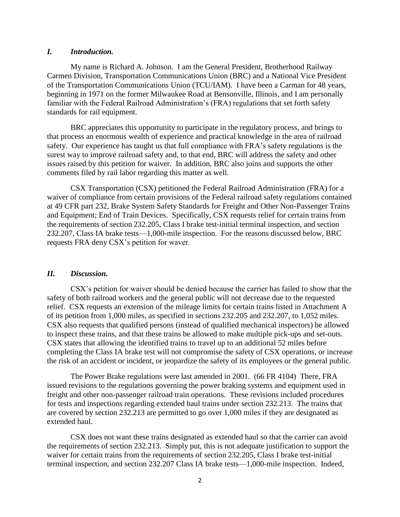### *I. Introduction.*

My name is Richard A. Johnson. I am the General President, Brotherhood Railway Carmen Division, Transportation Communications Union (BRC) and a National Vice President of the Transportation Communications Union (TCU/IAM). I have been a Carman for 48 years, beginning in 1971 on the former Milwaukee Road at Bensonville, Illinois, and I am personally familiar with the Federal Railroad Administration's (FRA) regulations that set forth safety standards for rail equipment.

BRC appreciates this opportunity to participate in the regulatory process, and brings to that process an enormous wealth of experience and practical knowledge in the area of railroad safety. Our experience has taught us that full compliance with FRA's safety regulations is the surest way to improve railroad safety and, to that end, BRC will address the safety and other issues raised by this petition for waiver. In addition, BRC also joins and supports the other comments filed by rail labor regarding this matter as well.

CSX Transportation (CSX) petitioned the Federal Railroad Administration (FRA) for a waiver of compliance from certain provisions of the Federal railroad safety regulations contained at 49 CFR part 232, Brake System Safety Standards for Freight and Other Non-Passenger Trains and Equipment; End of Train Devices. Specifically, CSX requests relief for certain trains from the requirements of section 232.205, Class I brake test-initial terminal inspection, and section 232.207, Class IA brake tests—1,000-mile inspection. For the reasons discussed below, BRC requests FRA deny CSX's petition for waver.

#### *II. Discussion.*

CSX's petition for waiver should be denied because the carrier has failed to show that the safety of both railroad workers and the general public will not decrease due to the requested relief. CSX requests an extension of the mileage limits for certain trains listed in Attachment A of its petition from 1,000 miles, as specified in sections 232.205 and 232.207, to 1,052 miles. CSX also requests that qualified persons (instead of qualified mechanical inspectors) be allowed to inspect these trains, and that these trains be allowed to make multiple pick-ups and set-outs. CSX states that allowing the identified trains to travel up to an additional 52 miles before completing the Class IA brake test will not compromise the safety of CSX operations, or increase the risk of an accident or incident, or jeopardize the safety of its employees or the general public.

The Power Brake regulations were last amended in 2001. (66 FR 4104) There, FRA issued revisions to the regulations governing the power braking systems and equipment used in freight and other non-passenger railroad train operations. These revisions included procedures for tests and inspections regarding extended haul trains under section 232.213. The trains that are covered by section 232.213 are permitted to go over 1,000 miles if they are designated as extended haul.

CSX does not want these trains designated as extended haul so that the carrier can avoid the requirements of section 232.213. Simply put, this is not adequate justification to support the waiver for certain trains from the requirements of section 232.205, Class I brake test-initial terminal inspection, and section 232.207 Class IA brake tests—1,000-mile inspection. Indeed,